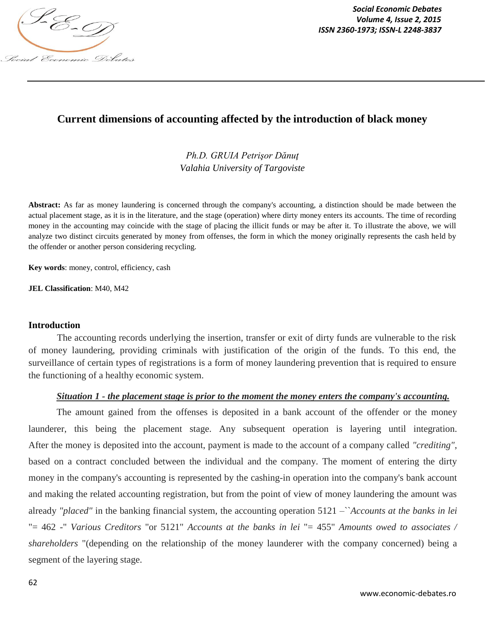

*Social Economic Debates ISSN 2360-1973; ISSN-L 2248-3837*

## **Current dimensions of accounting affected by the introduction of black money**

*Ph.D. GRUIA Petrişor Dănuţ Valahia University of Targoviste*

**Abstract:** As far as money laundering is concerned through the company's accounting, a distinction should be made between the actual placement stage, as it is in the literature, and the stage (operation) where dirty money enters its accounts. The time of recording money in the accounting may coincide with the stage of placing the illicit funds or may be after it. To illustrate the above, we will analyze two distinct circuits generated by money from offenses, the form in which the money originally represents the cash held by the offender or another person considering recycling.

**Key words**: money, control, efficiency, cash

**JEL Classification**: M40, M42

#### **Introduction**

The accounting records underlying the insertion, transfer or exit of dirty funds are vulnerable to the risk of money laundering, providing criminals with justification of the origin of the funds. To this end, the surveillance of certain types of registrations is a form of money laundering prevention that is required to ensure the functioning of a healthy economic system.

#### *Situation 1 - the placement stage is prior to the moment the money enters the company's accounting.*

The amount gained from the offenses is deposited in a bank account of the offender or the money launderer, this being the placement stage. Any subsequent operation is layering until integration. After the money is deposited into the account, payment is made to the account of a company called *"crediting"*, based on a contract concluded between the individual and the company. The moment of entering the dirty money in the company's accounting is represented by the cashing-in operation into the company's bank account and making the related accounting registration, but from the point of view of money laundering the amount was already *"placed"* in the banking financial system, the accounting operation 5121 –``*Accounts at the banks in lei* "= 462 -" *Various Creditors* "or 5121" *Accounts at the banks in lei* "= 455" *Amounts owed to associates / shareholders* "(depending on the relationship of the money launderer with the company concerned) being a segment of the layering stage.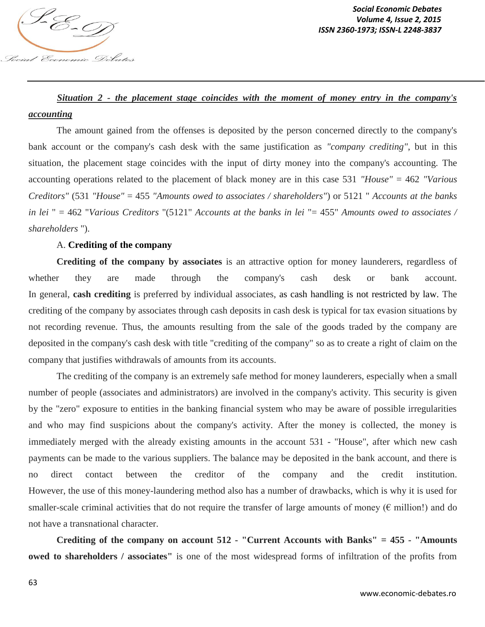

# *Situation 2 - the placement stage coincides with the moment of money entry in the company's accounting*

The amount gained from the offenses is deposited by the person concerned directly to the company's bank account or the company's cash desk with the same justification as *"company crediting"*, but in this situation, the placement stage coincides with the input of dirty money into the company's accounting. The accounting operations related to the placement of black money are in this case 531 *"House"* = 462 *"Various Creditors"* (531 *"House"* = 455 *"Amounts owed to associates / shareholders"*) or 5121 " *Accounts at the banks in lei* " = 462 "*Various Creditors* "(5121" *Accounts at the banks in lei* "= 455" *Amounts owed to associates / shareholders* ").

## A. **Crediting of the company**

**Crediting of the company by associates** is an attractive option for money launderers, regardless of whether they are made through the company's cash desk or bank account. In general, **cash crediting** is preferred by individual associates, as cash handling is not restricted by law. The crediting of the company by associates through cash deposits in cash desk is typical for tax evasion situations by not recording revenue. Thus, the amounts resulting from the sale of the goods traded by the company are deposited in the company's cash desk with title "crediting of the company" so as to create a right of claim on the company that justifies withdrawals of amounts from its accounts.

The crediting of the company is an extremely safe method for money launderers, especially when a small number of people (associates and administrators) are involved in the company's activity. This security is given by the "zero" exposure to entities in the banking financial system who may be aware of possible irregularities and who may find suspicions about the company's activity. After the money is collected, the money is immediately merged with the already existing amounts in the account 531 - "House", after which new cash payments can be made to the various suppliers. The balance may be deposited in the bank account, and there is no direct contact between the creditor of the company and the credit institution. However, the use of this money-laundering method also has a number of drawbacks, which is why it is used for smaller-scale criminal activities that do not require the transfer of large amounts of money ( $\epsilon$  million!) and do not have a transnational character.

**Crediting of the company on account 512 - "Current Accounts with Banks" = 455 - "Amounts owed to shareholders / associates"** is one of the most widespread forms of infiltration of the profits from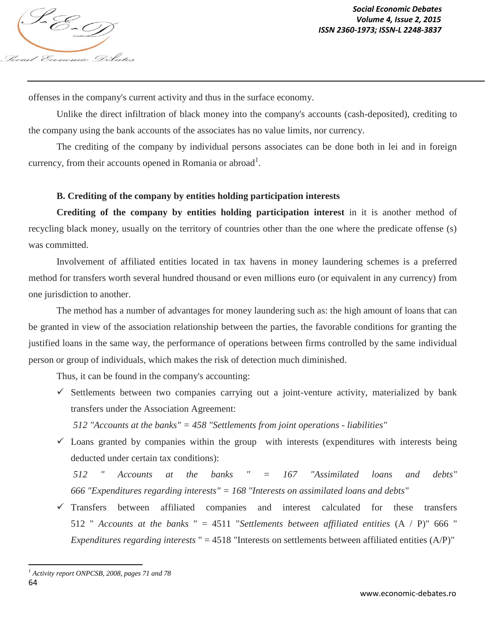offenses in the company's current activity and thus in the surface economy.

Unlike the direct infiltration of black money into the company's accounts (cash-deposited), crediting to the company using the bank accounts of the associates has no value limits, nor currency.

The crediting of the company by individual persons associates can be done both in lei and in foreign currency, from their accounts opened in Romania or abroad<sup>1</sup>.

## **B. Crediting of the company by entities holding participation interests**

**Crediting of the company by entities holding participation interest** in it is another method of recycling black money, usually on the territory of countries other than the one where the predicate offense (s) was committed.

Involvement of affiliated entities located in tax havens in money laundering schemes is a preferred method for transfers worth several hundred thousand or even millions euro (or equivalent in any currency) from one jurisdiction to another.

The method has a number of advantages for money laundering such as: the high amount of loans that can be granted in view of the association relationship between the parties, the favorable conditions for granting the justified loans in the same way, the performance of operations between firms controlled by the same individual person or group of individuals, which makes the risk of detection much diminished.

Thus, it can be found in the company's accounting:

 $\checkmark$  Settlements between two companies carrying out a joint-venture activity, materialized by bank transfers under the Association Agreement:

*512 "Accounts at the banks" = 458 "Settlements from joint operations - liabilities"*

 $\checkmark$  Loans granted by companies within the group with interests (expenditures with interests being deducted under certain tax conditions):

*512 " Accounts at the banks " = 167 "Assimilated loans and debts" 666 "Expenditures regarding interests" = 168 "Interests on assimilated loans and debts"*

 $\checkmark$  Transfers between affiliated companies and interest calculated for these transfers 512 " *Accounts at the banks* " = 4511 "*Settlements between affiliated entities* (A / P)" 666 " *Expenditures regarding interests* " = 4518 "Interests on settlements between affiliated entities (A/P)"

<sup>64</sup>  $\overline{a}$ *<sup>1</sup> Activity report ONPCSB, 2008, pages 71 and 78*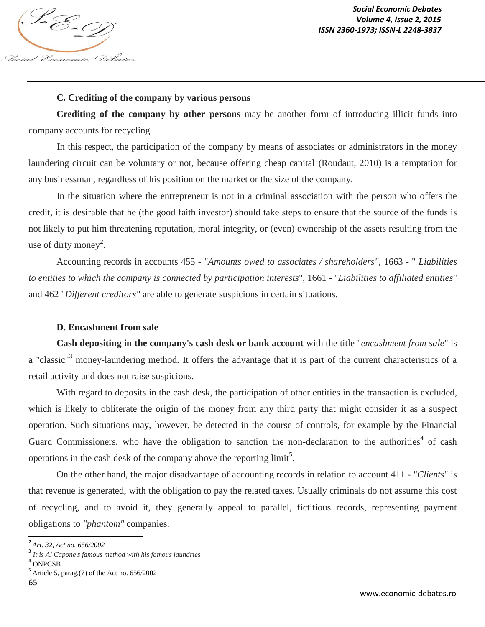

### **C. Crediting of the company by various persons**

**Crediting of the company by other persons** may be another form of introducing illicit funds into company accounts for recycling.

In this respect, the participation of the company by means of associates or administrators in the money laundering circuit can be voluntary or not, because offering cheap capital (Roudaut, 2010) is a temptation for any businessman, regardless of his position on the market or the size of the company.

In the situation where the entrepreneur is not in a criminal association with the person who offers the credit, it is desirable that he (the good faith investor) should take steps to ensure that the source of the funds is not likely to put him threatening reputation, moral integrity, or (even) ownership of the assets resulting from the use of dirty money<sup>2</sup>.

Accounting records in accounts 455 - "*Amounts owed to associates / shareholders",* 1663 - " *Liabilities to entities to which the company is connected by participation interests*", 1661 - "*Liabilities to affiliated entities*" and 462 "*Different creditors"* are able to generate suspicions in certain situations.

### **D. Encashment from sale**

**Cash depositing in the company's cash desk or bank account** with the title "*encashment from sale*" is a "classic"<sup>3</sup> money-laundering method. It offers the advantage that it is part of the current characteristics of a retail activity and does not raise suspicions.

With regard to deposits in the cash desk, the participation of other entities in the transaction is excluded, which is likely to obliterate the origin of the money from any third party that might consider it as a suspect operation. Such situations may, however, be detected in the course of controls, for example by the Financial Guard Commissioners, who have the obligation to sanction the non-declaration to the authorities<sup>4</sup> of cash operations in the cash desk of the company above the reporting  $\text{limit}^5$ .

On the other hand, the major disadvantage of accounting records in relation to account 411 - "*Clients*" is that revenue is generated, with the obligation to pay the related taxes. Usually criminals do not assume this cost of recycling, and to avoid it, they generally appeal to parallel, fictitious records, representing payment obligations to *"phantom"* companies.

4 ONPCSB

 $\overline{a}$ *2 Art. 32, Act no. 656/2002*

<sup>3</sup> *It is Al Capone's famous method with his famous laundries*

 $<sup>5</sup>$  Article 5, parag.(7) of the Act no. 656/2002</sup>

<sup>65</sup>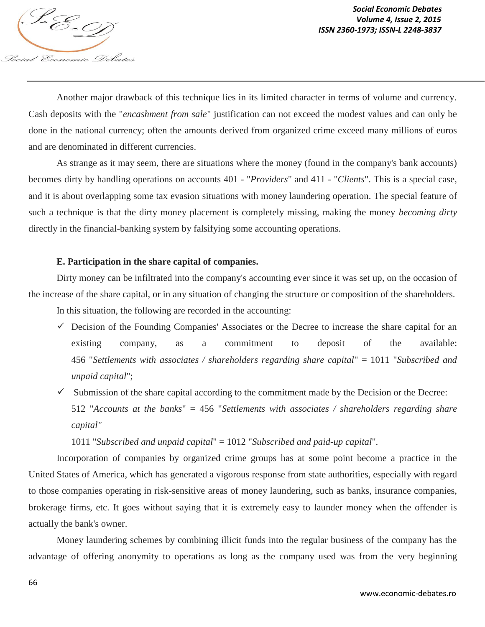

Another major drawback of this technique lies in its limited character in terms of volume and currency. Cash deposits with the "*encashment from sale*" justification can not exceed the modest values and can only be done in the national currency; often the amounts derived from organized crime exceed many millions of euros and are denominated in different currencies.

As strange as it may seem, there are situations where the money (found in the company's bank accounts) becomes dirty by handling operations on accounts 401 - "*Providers*" and 411 - "*Clients*". This is a special case, and it is about overlapping some tax evasion situations with money laundering operation. The special feature of such a technique is that the dirty money placement is completely missing, making the money *becoming dirty* directly in the financial-banking system by falsifying some accounting operations.

### **E. Participation in the share capital of companies.**

Dirty money can be infiltrated into the company's accounting ever since it was set up, on the occasion of the increase of the share capital, or in any situation of changing the structure or composition of the shareholders.

In this situation, the following are recorded in the accounting:

- $\checkmark$  Decision of the Founding Companies' Associates or the Decree to increase the share capital for an existing company, as a commitment to deposit of the available: 456 "*Settlements with associates / shareholders regarding share capital*" = 1011 "*Subscribed and unpaid capital*";
- $\checkmark$  Submission of the share capital according to the commitment made by the Decision or the Decree: 512 "*Accounts at the banks*" = 456 "*Settlements with associates / shareholders regarding share capital"*

1011 "*Subscribed and unpaid capital*" = 1012 "*Subscribed and paid-up capital*".

Incorporation of companies by organized crime groups has at some point become a practice in the United States of America, which has generated a vigorous response from state authorities, especially with regard to those companies operating in risk-sensitive areas of money laundering, such as banks, insurance companies, brokerage firms, etc. It goes without saying that it is extremely easy to launder money when the offender is actually the bank's owner.

Money laundering schemes by combining illicit funds into the regular business of the company has the advantage of offering anonymity to operations as long as the company used was from the very beginning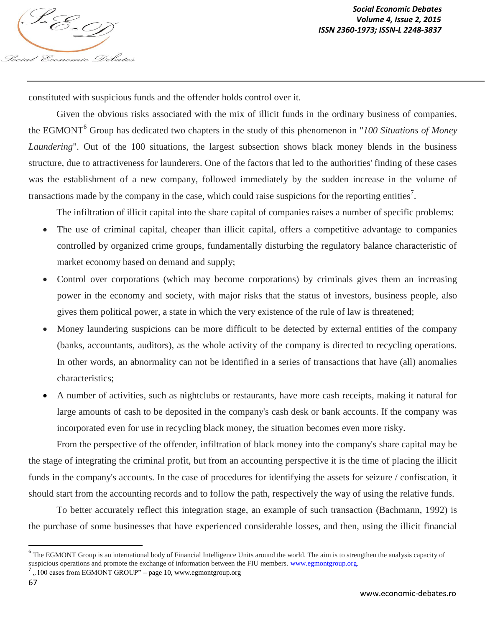

constituted with suspicious funds and the offender holds control over it.

Given the obvious risks associated with the mix of illicit funds in the ordinary business of companies, the EGMONT<sup>6</sup> Group has dedicated two chapters in the study of this phenomenon in "*100 Situations of Money Laundering*". Out of the 100 situations, the largest subsection shows black money blends in the business structure, due to attractiveness for launderers. One of the factors that led to the authorities' finding of these cases was the establishment of a new company, followed immediately by the sudden increase in the volume of transactions made by the company in the case, which could raise suspicions for the reporting entities<sup>7</sup>.

The infiltration of illicit capital into the share capital of companies raises a number of specific problems:

- The use of criminal capital, cheaper than illicit capital, offers a competitive advantage to companies controlled by organized crime groups, fundamentally disturbing the regulatory balance characteristic of market economy based on demand and supply;
- Control over corporations (which may become corporations) by criminals gives them an increasing power in the economy and society, with major risks that the status of investors, business people, also gives them political power, a state in which the very existence of the rule of law is threatened;
- Money laundering suspicions can be more difficult to be detected by external entities of the company (banks, accountants, auditors), as the whole activity of the company is directed to recycling operations. In other words, an abnormality can not be identified in a series of transactions that have (all) anomalies characteristics;
- A number of activities, such as nightclubs or restaurants, have more cash receipts, making it natural for large amounts of cash to be deposited in the company's cash desk or bank accounts. If the company was incorporated even for use in recycling black money, the situation becomes even more risky.

From the perspective of the offender, infiltration of black money into the company's share capital may be the stage of integrating the criminal profit, but from an accounting perspective it is the time of placing the illicit funds in the company's accounts. In the case of procedures for identifying the assets for seizure / confiscation, it should start from the accounting records and to follow the path, respectively the way of using the relative funds.

To better accurately reflect this integration stage, an example of such transaction (Bachmann, 1992) is the purchase of some businesses that have experienced considerable losses, and then, using the illicit financial

7 *"*100 cases from EGMONT GROUP" – page 10, www.egmontgroup.org

 $\overline{a}$ 

<sup>&</sup>lt;sup>6</sup> The EGMONT Group is an international body of Financial Intelligence Units around the world. The aim is to strengthen the analysis capacity of suspicious operations and promote the exchange of information between the FIU members. www.egmontgroup.org.